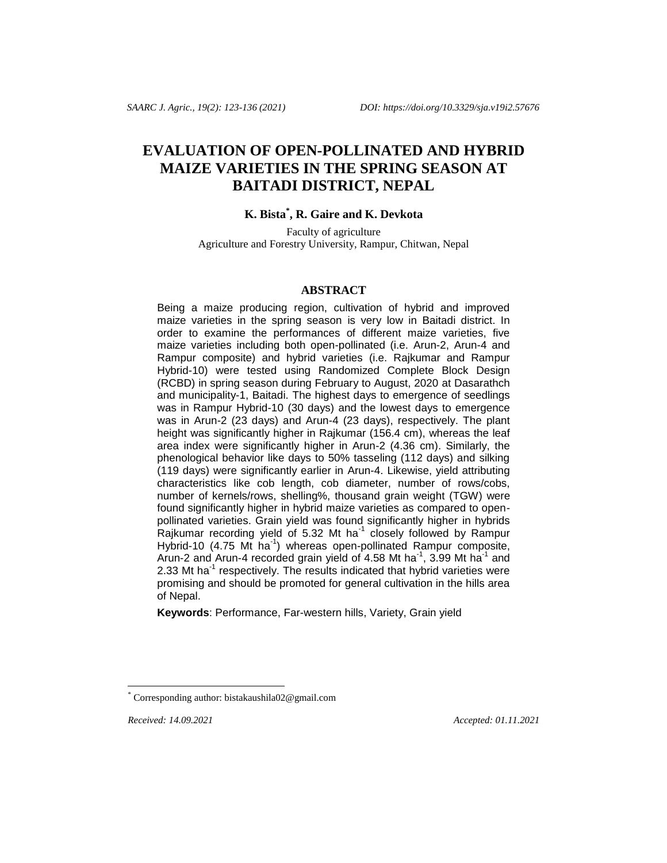# **EVALUATION OF OPEN-POLLINATED AND HYBRID MAIZE VARIETIES IN THE SPRING SEASON AT BAITADI DISTRICT, NEPAL**

# **K. Bista\* , R. Gaire and K. Devkota**

Faculty of agriculture Agriculture and Forestry University, Rampur, Chitwan, Nepal

#### **ABSTRACT**

Being a maize producing region, cultivation of hybrid and improved maize varieties in the spring season is very low in Baitadi district. In order to examine the performances of different maize varieties, five maize varieties including both open-pollinated (i.e. Arun-2, Arun-4 and Rampur composite) and hybrid varieties (i.e. Rajkumar and Rampur Hybrid-10) were tested using Randomized Complete Block Design (RCBD) in spring season during February to August, 2020 at Dasarathch and municipality-1, Baitadi. The highest days to emergence of seedlings was in Rampur Hybrid-10 (30 days) and the lowest days to emergence was in Arun-2 (23 days) and Arun-4 (23 days), respectively. The plant height was significantly higher in Rajkumar (156.4 cm), whereas the leaf area index were significantly higher in Arun-2 (4.36 cm). Similarly, the phenological behavior like days to 50% tasseling (112 days) and silking (119 days) were significantly earlier in Arun-4. Likewise, yield attributing characteristics like cob length, cob diameter, number of rows/cobs, number of kernels/rows, shelling%, thousand grain weight (TGW) were found significantly higher in hybrid maize varieties as compared to openpollinated varieties. Grain yield was found significantly higher in hybrids Rajkumar recording yield of 5.32 Mt ha<sup>-1</sup> closely followed by Rampur Hybrid-10 (4.75 Mt ha<sup>-1</sup>) whereas open-pollinated Rampur composite, Arun-2 and Arun-4 recorded grain yield of 4.58 Mt ha<sup>-1</sup>, 3.99 Mt ha<sup>-1</sup> and 2.33 Mt ha<sup>-1</sup> respectively. The results indicated that hybrid varieties were promising and should be promoted for general cultivation in the hills area of Nepal.

**Keywords**: Performance, Far-western hills, Variety, Grain yield

*Received: 14.09.2021 Accepted: 01.11.2021*

l

Corresponding author: bistakaushila02@gmail.com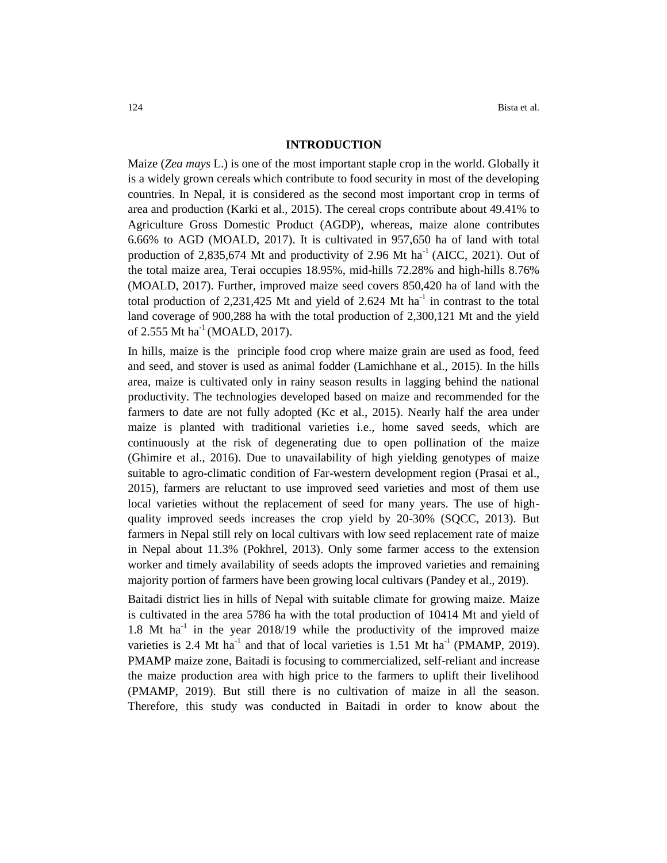#### **INTRODUCTION**

Maize (*Zea mays* L.) is one of the most important staple crop in the world. Globally it is a widely grown cereals which contribute to food security in most of the developing countries. In Nepal, it is considered as the second most important crop in terms of area and production (Karki et al., 2015). The cereal crops contribute about 49.41% to Agriculture Gross Domestic Product (AGDP), whereas, maize alone contributes 6.66% to AGD (MOALD, 2017). It is cultivated in 957,650 ha of land with total production of 2,835,674 Mt and productivity of 2.96 Mt ha<sup>-1</sup> (AICC, 2021). Out of the total maize area, Terai occupies 18.95%, mid-hills 72.28% and high-hills 8.76% (MOALD, 2017). Further, improved maize seed covers 850,420 ha of land with the total production of 2,231,425 Mt and yield of 2.624 Mt  $ha^{-1}$  in contrast to the total land coverage of 900,288 ha with the total production of 2,300,121 Mt and the yield of 2.555 Mt ha<sup>-1</sup> (MOALD, 2017).

In hills, maize is the principle food crop where maize grain are used as food, feed and seed, and stover is used as animal fodder (Lamichhane et al., 2015). In the hills area, maize is cultivated only in rainy season results in lagging behind the national productivity. The technologies developed based on maize and recommended for the farmers to date are not fully adopted (Kc et al., 2015). Nearly half the area under maize is planted with traditional varieties i.e., home saved seeds, which are continuously at the risk of degenerating due to open pollination of the maize (Ghimire et al., 2016). Due to unavailability of high yielding genotypes of maize suitable to agro-climatic condition of Far-western development region (Prasai et al., 2015), farmers are reluctant to use improved seed varieties and most of them use local varieties without the replacement of seed for many years. The use of highquality improved seeds increases the crop yield by 20-30% (SQCC, 2013). But farmers in Nepal still rely on local cultivars with low seed replacement rate of maize in Nepal about 11.3% (Pokhrel, 2013). Only some farmer access to the extension worker and timely availability of seeds adopts the improved varieties and remaining majority portion of farmers have been growing local cultivars (Pandey et al., 2019).

Baitadi district lies in hills of Nepal with suitable climate for growing maize. Maize is cultivated in the area 5786 ha with the total production of 10414 Mt and yield of 1.8 Mt ha<sup>-1</sup> in the year 2018/19 while the productivity of the improved maize varieties is 2.4 Mt ha<sup>-1</sup> and that of local varieties is 1.51 Mt ha<sup>-1</sup> (PMAMP, 2019). PMAMP maize zone, Baitadi is focusing to commercialized, self-reliant and increase the maize production area with high price to the farmers to uplift their livelihood (PMAMP, 2019). But still there is no cultivation of maize in all the season. Therefore, this study was conducted in Baitadi in order to know about the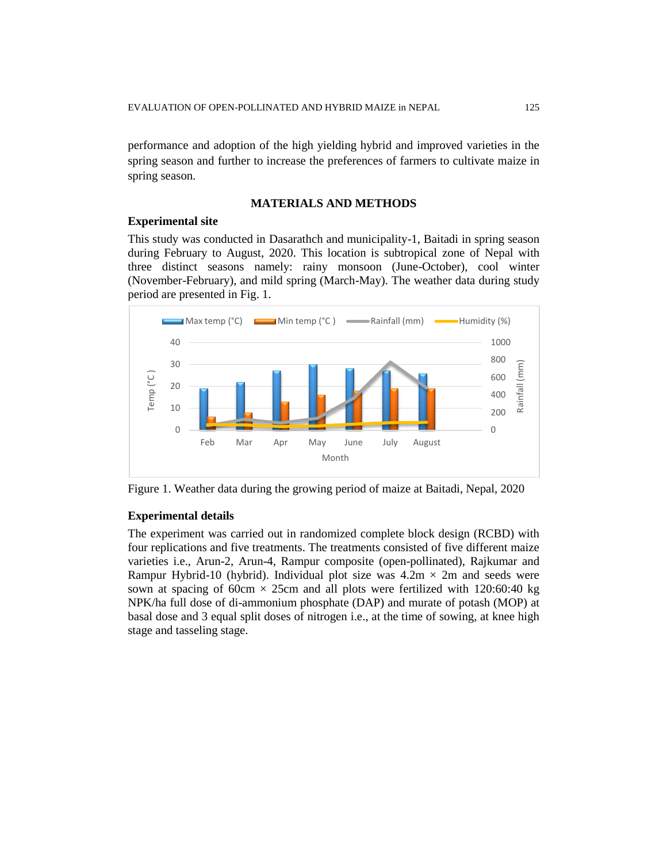performance and adoption of the high yielding hybrid and improved varieties in the spring season and further to increase the preferences of farmers to cultivate maize in spring season.

### **MATERIALS AND METHODS**

#### **Experimental site**

This study was conducted in Dasarathch and municipality-1, Baitadi in spring season during February to August, 2020. This location is subtropical zone of Nepal with three distinct seasons namely: rainy monsoon (June-October), cool winter (November-February), and mild spring (March-May). The weather data during study period are presented in Fig. 1.



Figure 1. Weather data during the growing period of maize at Baitadi, Nepal, 2020

#### **Experimental details**

The experiment was carried out in randomized complete block design (RCBD) with four replications and five treatments. The treatments consisted of five different maize varieties i.e., Arun-2, Arun-4, Rampur composite (open-pollinated), Rajkumar and Rampur Hybrid-10 (hybrid). Individual plot size was  $4.2m \times 2m$  and seeds were sown at spacing of 60cm  $\times$  25cm and all plots were fertilized with 120:60:40 kg NPK/ha full dose of di-ammonium phosphate (DAP) and murate of potash (MOP) at basal dose and 3 equal split doses of nitrogen i.e., at the time of sowing, at knee high stage and tasseling stage.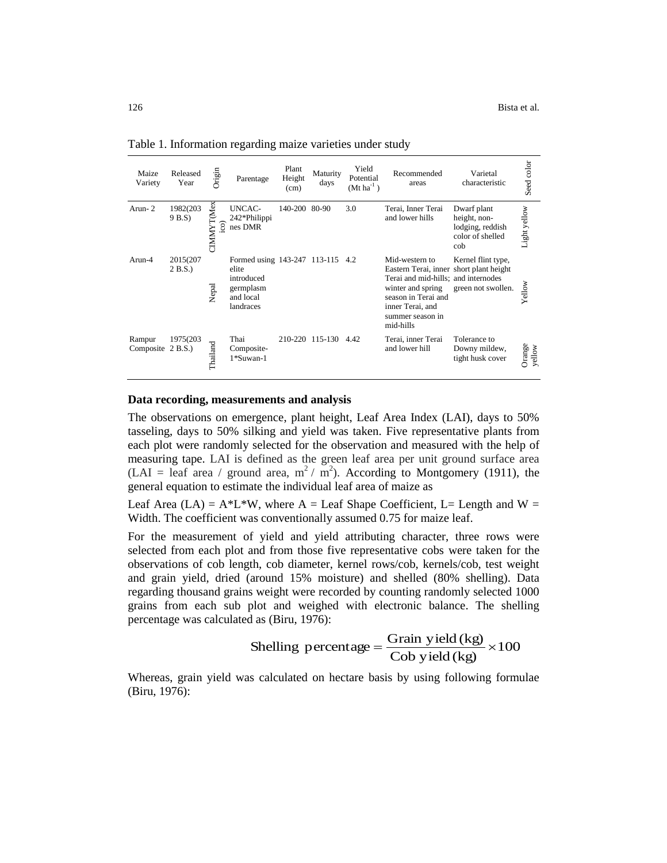| Maize<br>Variety            | Released<br>Year   | Origin                                  | Parentage                                                                                      | Plant<br>Height<br>(cm) | Maturity<br>days | Yield<br>Potential<br>$(Mt ha^{-1})$ | Recommended<br>areas                                                                                                                                                                              | Varietal<br>characteristic                                                 | Seed color       |
|-----------------------------|--------------------|-----------------------------------------|------------------------------------------------------------------------------------------------|-------------------------|------------------|--------------------------------------|---------------------------------------------------------------------------------------------------------------------------------------------------------------------------------------------------|----------------------------------------------------------------------------|------------------|
| Arun-2                      | 1982(203<br>9 B.S) | CIMMYT(Mex)<br>$\widetilde{\mathrm{c}}$ | <b>UNCAC-</b><br>242*Philippi<br>nes DMR                                                       | 140-200 80-90           |                  | 3.0                                  | Terai, Inner Terai<br>and lower hills                                                                                                                                                             | Dwarf plant<br>height, non-<br>lodging, reddish<br>color of shelled<br>cob | Light yellow     |
| Arun-4                      | 2015(207<br>2 B.S. | Nepal                                   | Formed using 143-247 113-115 4.2<br>elite<br>introduced<br>germplasm<br>and local<br>landraces |                         |                  |                                      | Mid-western to<br>Eastern Terai, inner short plant height<br>Terai and mid-hills; and internodes<br>winter and spring<br>season in Terai and<br>inner Terai, and<br>summer season in<br>mid-hills | Kernel flint type,<br>green not swollen.                                   | Yellow           |
| Rampur<br>Composite 2 B.S.) | 1975(203)          | Thailand                                | Thai<br>Composite-<br>1*Suwan-1                                                                |                         | 210-220 115-130  | 4.42                                 | Terai, inner Terai<br>and lower hill                                                                                                                                                              | Tolerance to<br>Downy mildew,<br>tight husk cover                          | Orange<br>yellow |

Table 1. Information regarding maize varieties under study

#### **Data recording, measurements and analysis**

The observations on emergence, plant height, Leaf Area Index (LAI), days to 50% tasseling, days to 50% silking and yield was taken. Five representative plants from each plot were randomly selected for the observation and measured with the help of measuring tape. LAI is defined as the green leaf area per unit ground surface area (LAI = leaf area / ground area,  $m^2 / m^2$ ). According to Montgomery (1911), the general equation to estimate the individual leaf area of maize as

Leaf Area (LA) =  $A^*L^*W$ , where A = Leaf Shape Coefficient, L= Length and W = Width. The coefficient was conventionally assumed 0.75 for maize leaf.

For the measurement of yield and yield attributing character, three rows were selected from each plot and from those five representative cobs were taken for the observations of cob length, cob diameter, kernel rows/cob, kernels/cob, test weight and grain yield, dried (around 15% moisture) and shelled (80% shelling). Data regarding thousand grains weight were recorded by counting randomly selected 1000 grains from each sub plot and weighed with electronic balance. The shelling percentage was calculated as (Biru, 1976):

Shelling percentage = 
$$
\frac{\text{Grain yield (kg)}}{\text{Cob yield (kg)}} \times 100
$$

Whereas, grain yield was calculated on hectare basis by using following formulae (Biru, 1976):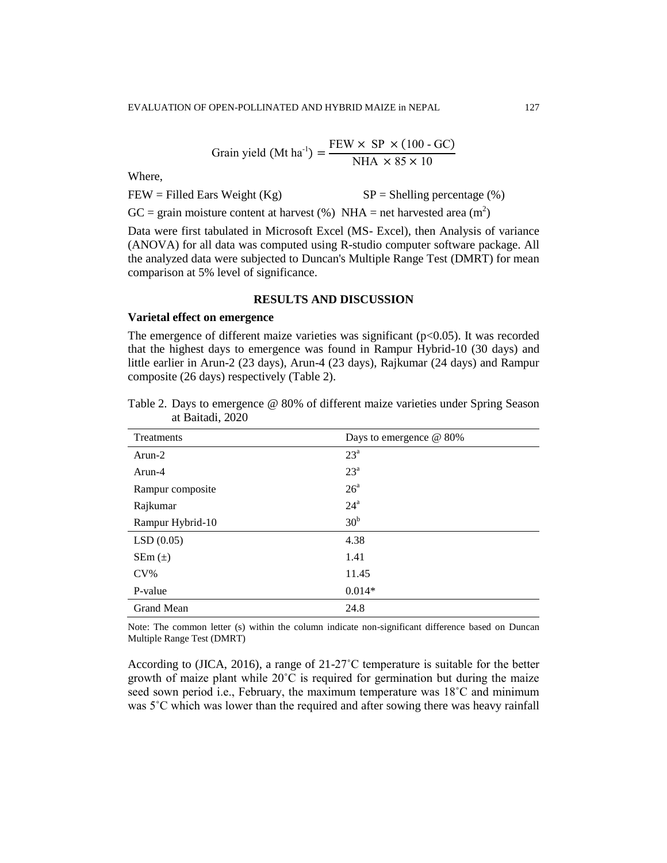$$
Grain yield (Mt ha^{-1}) = \frac{FEW \times SP \times (100 - GC)}{NHA \times 85 \times 10}
$$

Where,

 $FEW = Filled Ears Weight (Kg)$   $SP = Shelling percentage (%)$ 

GC = grain moisture content at harvest (%) NHA = net harvested area  $(m^2)$ 

Data were first tabulated in Microsoft Excel (MS- Excel), then Analysis of variance (ANOVA) for all data was computed using R-studio computer software package. All the analyzed data were subjected to Duncan's Multiple Range Test (DMRT) for mean comparison at 5% level of significance.

### **RESULTS AND DISCUSSION**

#### **Varietal effect on emergence**

The emergence of different maize varieties was significant  $(p<0.05)$ . It was recorded that the highest days to emergence was found in Rampur Hybrid-10 (30 days) and little earlier in Arun-2 (23 days), Arun-4 (23 days), Rajkumar (24 days) and Rampur composite (26 days) respectively (Table 2).

| Treatments        | Days to emergence @ 80% |
|-------------------|-------------------------|
| $Arun-2$          | $23^{\circ}$            |
| Arun-4            | 23 <sup>a</sup>         |
| Rampur composite  | 26 <sup>a</sup>         |
| Rajkumar          | $24^{\mathrm{a}}$       |
| Rampur Hybrid-10  | 30 <sup>b</sup>         |
| LSD(0.05)         | 4.38                    |
| $SEM(\pm)$        | 1.41                    |
| $CV\%$            | 11.45                   |
| P-value           | $0.014*$                |
| <b>Grand Mean</b> | 24.8                    |

Table 2. Days to emergence @ 80% of different maize varieties under Spring Season at Baitadi, 2020

Note: The common letter (s) within the column indicate non-significant difference based on Duncan Multiple Range Test (DMRT)

According to (JICA, 2016), a range of  $21-27^{\circ}$ C temperature is suitable for the better growth of maize plant while  $20^{\circ}$ C is required for germination but during the maize seed sown period i.e., February, the maximum temperature was  $18^{\circ}$ C and minimum was  $5^{\circ}$ C which was lower than the required and after sowing there was heavy rainfall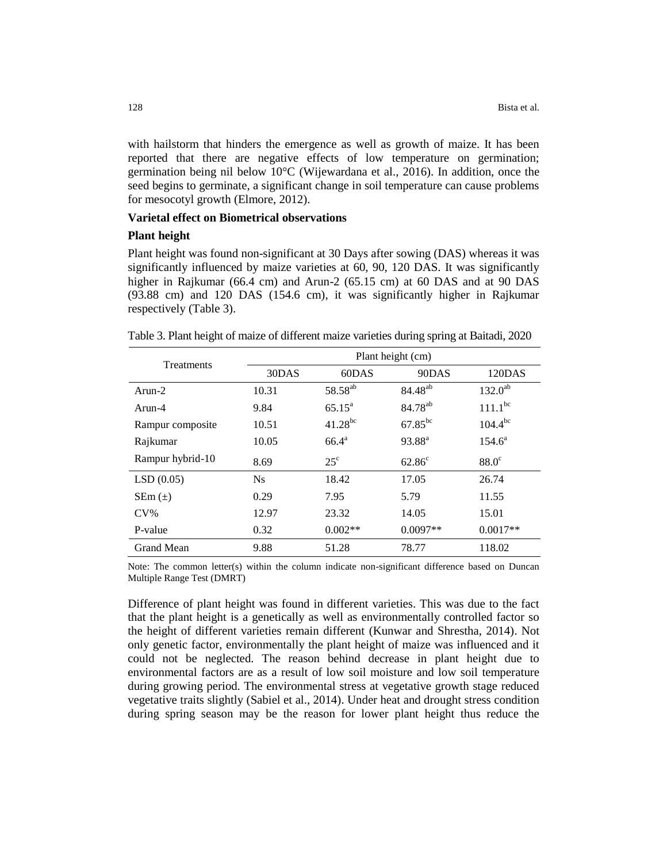with hailstorm that hinders the emergence as well as growth of maize. It has been reported that there are negative effects of low temperature on germination; germination being nil below 10°C (Wijewardana et al., 2016). In addition, once the seed begins to germinate, a significant change in soil temperature can cause problems for mesocotyl growth (Elmore, 2012).

### **Varietal effect on Biometrical observations**

#### **Plant height**

Plant height was found non-significant at 30 Days after sowing (DAS) whereas it was significantly influenced by maize varieties at 60, 90, 120 DAS. It was significantly higher in Rajkumar (66.4 cm) and Arun-2 (65.15 cm) at 60 DAS and at 90 DAS (93.88 cm) and 120 DAS (154.6 cm), it was significantly higher in Rajkumar respectively (Table 3).

|  | Table 3. Plant height of maize of different maize varieties during spring at Baitadi, 2020 |  |  |  |
|--|--------------------------------------------------------------------------------------------|--|--|--|
|  |                                                                                            |  |  |  |

| Treatments        | Plant height (cm) |                     |                     |              |  |  |  |
|-------------------|-------------------|---------------------|---------------------|--------------|--|--|--|
|                   | 30DAS             | 60DAS               | 90DAS               | 120DAS       |  |  |  |
| $Arun-2$          | 10.31             | 58.58 <sup>ab</sup> | 84.48 <sup>ab</sup> | $132.0^{ab}$ |  |  |  |
| Arun-4            | 9.84              | $65.15^a$           | 84.78 <sup>ab</sup> | $111.1^{bc}$ |  |  |  |
| Rampur composite  | 10.51             | $41.28^{bc}$        | $67.85^{bc}$        | $104.4^{bc}$ |  |  |  |
| Rajkumar          | 10.05             | $66.4^{\text{a}}$   | 93.88 <sup>a</sup>  | $154.6^a$    |  |  |  |
| Rampur hybrid-10  | 8.69              | $25^{\circ}$        | $62.86^{\circ}$     | $88.0^\circ$ |  |  |  |
| LSD(0.05)         | N <sub>S</sub>    | 18.42               | 17.05               | 26.74        |  |  |  |
| $SEM(\pm)$        | 0.29              | 7.95                | 5.79                | 11.55        |  |  |  |
| $CV\%$            | 12.97             | 23.32               | 14.05               | 15.01        |  |  |  |
| P-value           | 0.32              | $0.002**$           | $0.0097**$          | $0.0017**$   |  |  |  |
| <b>Grand Mean</b> | 9.88              | 51.28               | 78.77               | 118.02       |  |  |  |

Note: The common letter(s) within the column indicate non-significant difference based on Duncan Multiple Range Test (DMRT)

Difference of plant height was found in different varieties. This was due to the fact that the plant height is a genetically as well as environmentally controlled factor so the height of different varieties remain different (Kunwar and Shrestha, 2014). Not only genetic factor, environmentally the plant height of maize was influenced and it could not be neglected. The reason behind decrease in plant height due to environmental factors are as a result of low soil moisture and low soil temperature during growing period. The environmental stress at vegetative growth stage reduced vegetative traits slightly (Sabiel et al., 2014). Under heat and drought stress condition during spring season may be the reason for lower plant height thus reduce the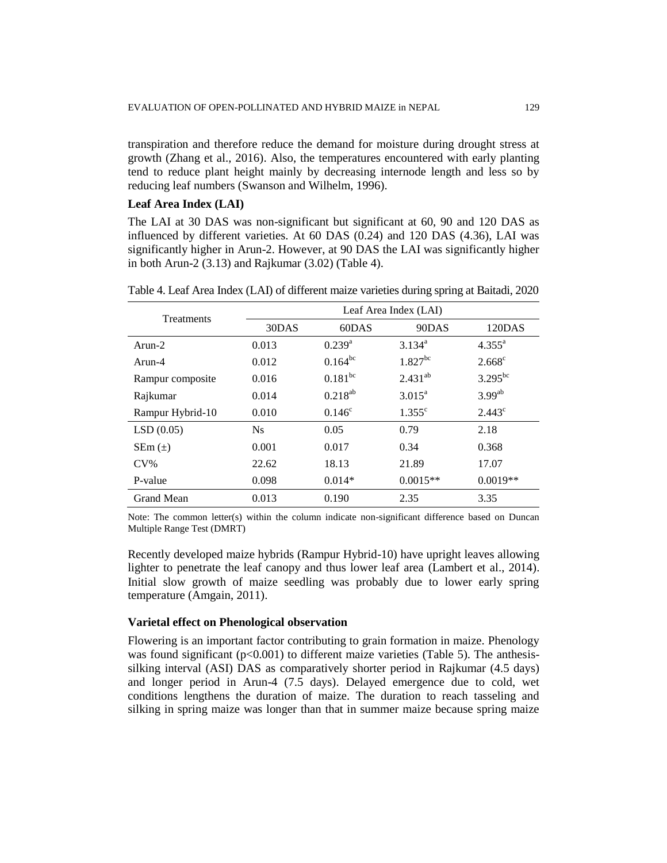transpiration and therefore reduce the demand for moisture during drought stress at growth (Zhang et al., 2016). Also, the temperatures encountered with early planting tend to reduce plant height mainly by decreasing internode length and less so by reducing leaf numbers (Swanson and Wilhelm, 1996).

### **Leaf Area Index (LAI)**

The LAI at 30 DAS was non-significant but significant at 60, 90 and 120 DAS as influenced by different varieties. At 60 DAS (0.24) and 120 DAS (4.36), LAI was significantly higher in Arun-2. However, at 90 DAS the LAI was significantly higher in both Arun-2 (3.13) and Rajkumar (3.02) (Table 4).

Table 4. Leaf Area Index (LAI) of different maize varieties during spring at Baitadi, 2020

| Treatments       | Leaf Area Index (LAI) |                 |                 |                      |  |  |  |
|------------------|-----------------------|-----------------|-----------------|----------------------|--|--|--|
|                  | 30DAS                 | 60DAS           | 90DAS           | 120DAS               |  |  |  |
| $Arun-2$         | 0.013                 | $0.239^{a}$     | $3.134^{a}$     | $4.355^{\text{a}}$   |  |  |  |
| Arun-4           | 0.012                 | $0.164^{bc}$    | $1.827^{bc}$    | $2.668$ <sup>c</sup> |  |  |  |
| Rampur composite | 0.016                 | $0.181^{bc}$    | $2.431^{ab}$    | $3.295^{bc}$         |  |  |  |
| Rajkumar         | 0.014                 | $0.218^{ab}$    | $3.015^a$       | $3.99^{ab}$          |  |  |  |
| Rampur Hybrid-10 | 0.010                 | $0.146^{\circ}$ | $1.355^{\circ}$ | $2.443^{\circ}$      |  |  |  |
| LSD(0.05)        | $N_{S}$               | 0.05            | 0.79            | 2.18                 |  |  |  |
| $SEM(\pm)$       | 0.001                 | 0.017           | 0.34            | 0.368                |  |  |  |
| $CV\%$           | 22.62                 | 18.13           | 21.89           | 17.07                |  |  |  |
| P-value          | 0.098                 | $0.014*$        | $0.0015**$      | $0.0019**$           |  |  |  |
| Grand Mean       | 0.013                 | 0.190           | 2.35            | 3.35                 |  |  |  |

Note: The common letter(s) within the column indicate non-significant difference based on Duncan Multiple Range Test (DMRT)

Recently developed maize hybrids (Rampur Hybrid-10) have upright leaves allowing lighter to penetrate the leaf canopy and thus lower leaf area (Lambert et al., 2014). Initial slow growth of maize seedling was probably due to lower early spring temperature (Amgain, 2011).

#### **Varietal effect on Phenological observation**

Flowering is an important factor contributing to grain formation in maize. Phenology was found significant  $(p<0.001)$  to different maize varieties (Table 5). The anthesissilking interval (ASI) DAS as comparatively shorter period in Rajkumar (4.5 days) and longer period in Arun-4 (7.5 days). Delayed emergence due to cold, wet conditions lengthens the duration of maize. The duration to reach tasseling and silking in spring maize was longer than that in summer maize because spring maize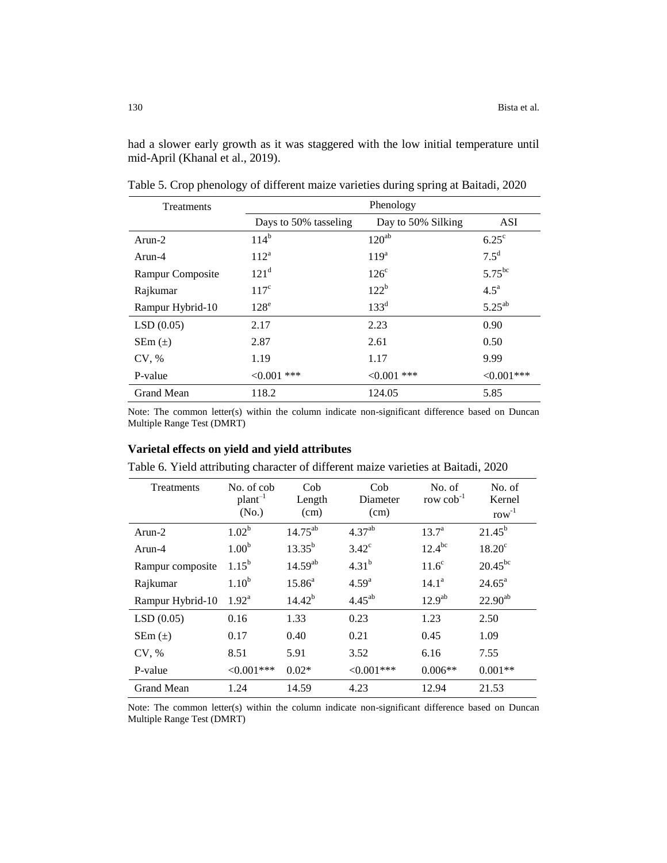had a slower early growth as it was staggered with the low initial temperature until mid-April (Khanal et al., 2019).

| Treatments        |                       | Phenology          |                    |
|-------------------|-----------------------|--------------------|--------------------|
|                   | Days to 50% tasseling | Day to 50% Silking | <b>ASI</b>         |
| $Arun-2$          | $114^b$               | $120^{ab}$         | $6.25^{\circ}$     |
| Arun-4            | $112^a$               | 119 <sup>a</sup>   | $7.5^{\rm d}$      |
| Rampur Composite  | 121 <sup>d</sup>      | $126^{\circ}$      | $5.75^{bc}$        |
| Rajkumar          | $117^{\circ}$         | $122^b$            | $4.5^{\mathrm{a}}$ |
| Rampur Hybrid-10  | $128^e$               | $133^d$            | $5.25^{ab}$        |
| LSD(0.05)         | 2.17                  | 2.23               | 0.90               |
| $SEM(\pm)$        | 2.87                  | 2.61               | 0.50               |
| CV, %             | 1.19                  | 1.17               | 9.99               |
| P-value           | $< 0.001$ ***         | $< 0.001$ ***      | $<0.001***$        |
| <b>Grand Mean</b> | 118.2                 | 124.05             | 5.85               |

Table 5. Crop phenology of different maize varieties during spring at Baitadi, 2020

Note: The common letter(s) within the column indicate non-significant difference based on Duncan Multiple Range Test (DMRT)

#### **Varietal effects on yield and yield attributes**

Table 6. Yield attributing character of different maize varieties at Baitadi, 2020

| Treatments        | No. of cob<br>$plan-1$<br>(No.) | Cob<br>Length<br>(cm) | Cob<br>Diameter<br>(cm) | No. of<br>row $\cosh^{-1}$ | No. of<br>Kernel<br>$row^{-1}$ |
|-------------------|---------------------------------|-----------------------|-------------------------|----------------------------|--------------------------------|
| $Arun-2$          | $1.02^{b}$                      | $14.75^{ab}$          | 4.37 <sup>ab</sup>      | $13.7^{\rm a}$             | $21.45^{b}$                    |
| Arun-4            | 1.00 <sup>b</sup>               | $13.35^{b}$           | $3.42^{\circ}$          | $12.4^{bc}$                | $18.20^{\circ}$                |
| Rampur composite  | $1.15^{b}$                      | $14.59^{ab}$          | $4.31^{b}$              | $11.6^\circ$               | $20.45^{bc}$                   |
| Rajkumar          | 1.10 <sup>b</sup>               | $15.86^{a}$           | $4.59^{a}$              | $14.1^a$                   | $24.65^{\circ}$                |
| Rampur Hybrid-10  | $1.92^{\rm a}$                  | $14.42^{b}$           | $4.45^{ab}$             | 12.9 <sup>ab</sup>         | $22.90^{ab}$                   |
| LSD(0.05)         | 0.16                            | 1.33                  | 0.23                    | 1.23                       | 2.50                           |
| $SEM(\pm)$        | 0.17                            | 0.40                  | 0.21                    | 0.45                       | 1.09                           |
| CV, %             | 8.51                            | 5.91                  | 3.52                    | 6.16                       | 7.55                           |
| P-value           | $< 0.001$ ***                   | $0.02*$               | $< 0.001$ ***           | $0.006**$                  | $0.001**$                      |
| <b>Grand Mean</b> | 1.24                            | 14.59                 | 4.23                    | 12.94                      | 21.53                          |

Note: The common letter(s) within the column indicate non-significant difference based on Duncan Multiple Range Test (DMRT)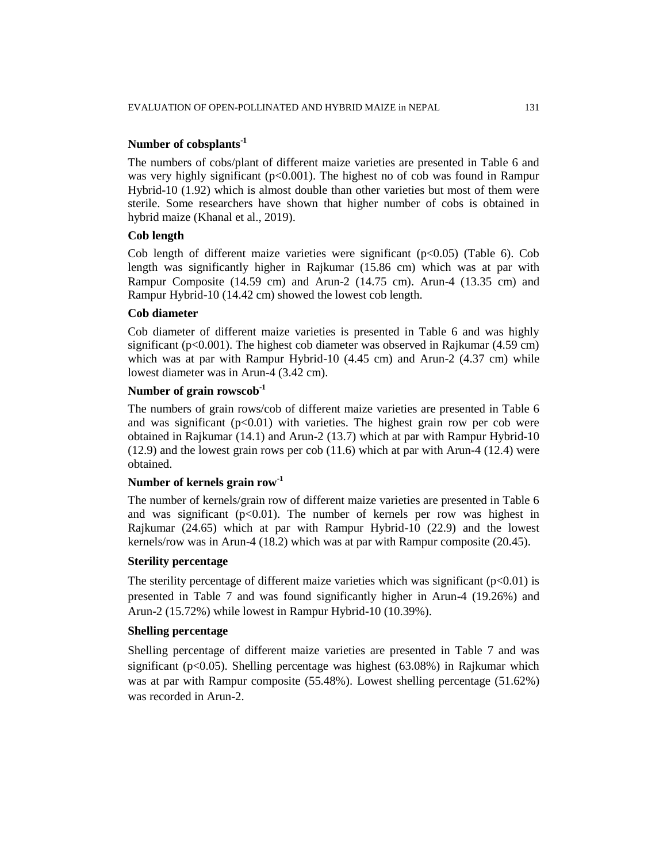## **Number of cobsplants-1**

The numbers of cobs/plant of different maize varieties are presented in Table 6 and was very highly significant  $(p<0.001)$ . The highest no of cob was found in Rampur Hybrid-10 (1.92) which is almost double than other varieties but most of them were sterile. Some researchers have shown that higher number of cobs is obtained in hybrid maize (Khanal et al., 2019).

### **Cob length**

Cob length of different maize varieties were significant  $(p<0.05)$  (Table 6). Cob length was significantly higher in Rajkumar (15.86 cm) which was at par with Rampur Composite (14.59 cm) and Arun-2 (14.75 cm). Arun-4 (13.35 cm) and Rampur Hybrid-10 (14.42 cm) showed the lowest cob length.

### **Cob diameter**

Cob diameter of different maize varieties is presented in Table 6 and was highly significant ( $p<0.001$ ). The highest cob diameter was observed in Rajkumar (4.59 cm) which was at par with Rampur Hybrid-10 (4.45 cm) and Arun-2 (4.37 cm) while lowest diameter was in Arun-4 (3.42 cm).

## **Number of grain rowscob-1**

The numbers of grain rows/cob of different maize varieties are presented in Table 6 and was significant  $(p<0.01)$  with varieties. The highest grain row per cob were obtained in Rajkumar (14.1) and Arun-2 (13.7) which at par with Rampur Hybrid-10 (12.9) and the lowest grain rows per cob (11.6) which at par with Arun-4 (12.4) were obtained.

## **Number of kernels grain row-1**

The number of kernels/grain row of different maize varieties are presented in Table 6 and was significant  $(p<0.01)$ . The number of kernels per row was highest in Rajkumar (24.65) which at par with Rampur Hybrid-10 (22.9) and the lowest kernels/row was in Arun-4 (18.2) which was at par with Rampur composite (20.45).

#### **Sterility percentage**

The sterility percentage of different maize varieties which was significant  $(p<0.01)$  is presented in Table 7 and was found significantly higher in Arun-4 (19.26%) and Arun-2 (15.72%) while lowest in Rampur Hybrid-10 (10.39%).

#### **Shelling percentage**

Shelling percentage of different maize varieties are presented in Table 7 and was significant ( $p<0.05$ ). Shelling percentage was highest (63.08%) in Rajkumar which was at par with Rampur composite (55.48%). Lowest shelling percentage (51.62%) was recorded in Arun-2.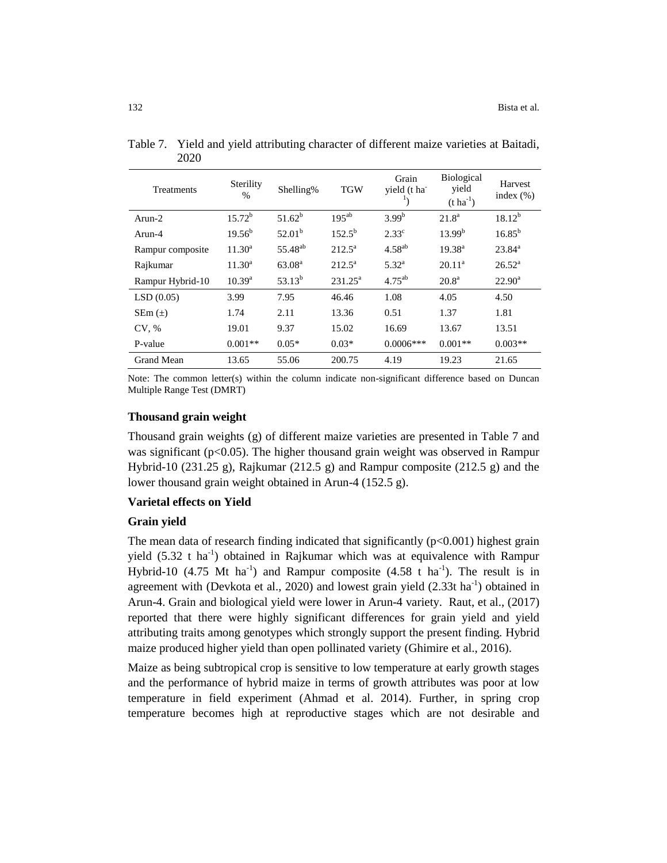| Treatments        | Sterility<br>$\frac{0}{0}$ | Shelling%           | <b>TGW</b>      | Grain<br>vield (t ha<br>1, | <b>Biological</b><br>yield<br>$(t \, ha^{-1})$ | Harvest<br>index $(\%)$ |
|-------------------|----------------------------|---------------------|-----------------|----------------------------|------------------------------------------------|-------------------------|
| Arun-2            | $15.72^b$                  | $51.62^b$           | $195^{ab}$      | 3.99 <sup>b</sup>          | 21.8 <sup>a</sup>                              | $18.12^{b}$             |
| Arun-4            | $19.56^{b}$                | 52.01 <sup>b</sup>  | $152.5^{b}$     | $2.33^{\circ}$             | $13.99^{b}$                                    | $16.85^{b}$             |
| Rampur composite  | $11.30^a$                  | 55.48 <sup>ab</sup> | $212.5^a$       | $4.58^{ab}$                | $19.38^{a}$                                    | $23.84^a$               |
| Rajkumar          | $11.30^{\rm a}$            | 63.08 <sup>a</sup>  | $212.5^{\circ}$ | $5.32^{a}$                 | $20.11^a$                                      | $26.52^{\rm a}$         |
| Rampur Hybrid-10  | $10.39^{a}$                | $53.13^{b}$         | $231.25^a$      | $4.75^{ab}$                | $20.8^{\rm a}$                                 | $22.90^{\rm a}$         |
| LSD(0.05)         | 3.99                       | 7.95                | 46.46           | 1.08                       | 4.05                                           | 4.50                    |
| $SEm(\pm)$        | 1.74                       | 2.11                | 13.36           | 0.51                       | 1.37                                           | 1.81                    |
| CV. %             | 19.01                      | 9.37                | 15.02           | 16.69                      | 13.67                                          | 13.51                   |
| P-value           | $0.001**$                  | $0.05*$             | $0.03*$         | $0.0006***$                | $0.001**$                                      | $0.003**$               |
| <b>Grand Mean</b> | 13.65                      | 55.06               | 200.75          | 4.19                       | 19.23                                          | 21.65                   |

Table 7. Yield and yield attributing character of different maize varieties at Baitadi, 2020

Note: The common letter(s) within the column indicate non-significant difference based on Duncan Multiple Range Test (DMRT)

#### **Thousand grain weight**

Thousand grain weights (g) of different maize varieties are presented in Table 7 and was significant ( $p<0.05$ ). The higher thousand grain weight was observed in Rampur Hybrid-10 (231.25 g), Rajkumar (212.5 g) and Rampur composite (212.5 g) and the lower thousand grain weight obtained in Arun-4 (152.5 g).

#### **Varietal effects on Yield**

#### **Grain yield**

The mean data of research finding indicated that significantly  $(p<0.001)$  highest grain yield  $(5.32 \text{ t} \text{ ha}^{-1})$  obtained in Rajkumar which was at equivalence with Rampur Hybrid-10 (4.75 Mt ha<sup>-1</sup>) and Rampur composite (4.58 t ha<sup>-1</sup>). The result is in agreement with (Devkota et al., 2020) and lowest grain yield  $(2.33t \text{ ha}^{-1})$  obtained in Arun-4. Grain and biological yield were lower in Arun-4 variety. Raut, et al., (2017) reported that there were highly significant differences for grain yield and yield attributing traits among genotypes which strongly support the present finding. Hybrid maize produced higher yield than open pollinated variety (Ghimire et al., 2016).

Maize as being subtropical crop is sensitive to low temperature at early growth stages and the performance of hybrid maize in terms of growth attributes was poor at low temperature in field experiment (Ahmad et al. 2014). Further, in spring crop temperature becomes high at reproductive stages which are not desirable and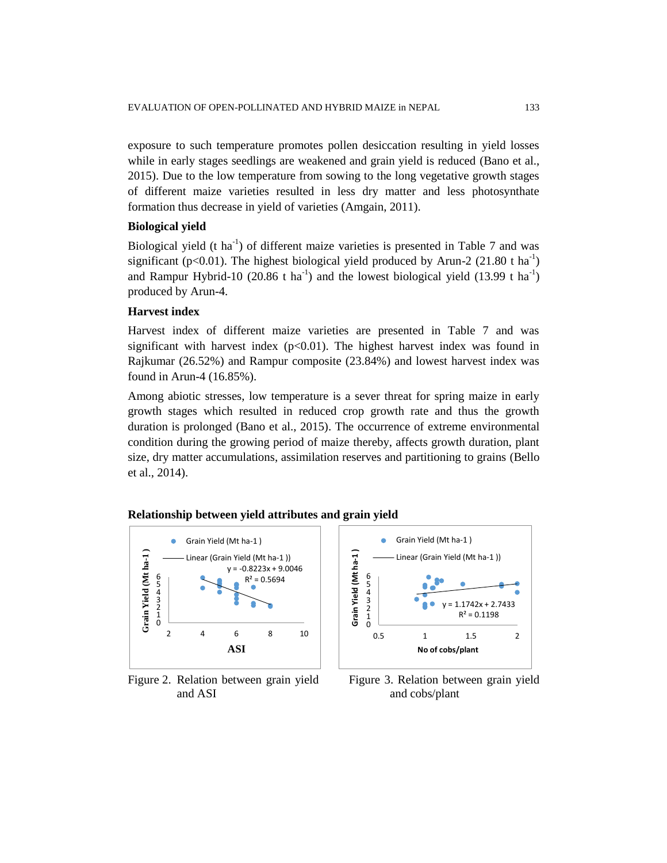exposure to such temperature promotes pollen desiccation resulting in yield losses while in early stages seedlings are weakened and grain yield is reduced (Bano et al., 2015). Due to the low temperature from sowing to the long vegetative growth stages of different maize varieties resulted in less dry matter and less photosynthate formation thus decrease in yield of varieties (Amgain, 2011).

#### **Biological yield**

Biological yield  $(t \text{ ha}^{-1})$  of different maize varieties is presented in Table 7 and was significant ( $p<0.01$ ). The highest biological yield produced by Arun-2 (21.80 t ha<sup>-1</sup>) and Rampur Hybrid-10 (20.86 t ha<sup>-1</sup>) and the lowest biological yield (13.99 t ha<sup>-1</sup>) produced by Arun-4.

### **Harvest index**

Harvest index of different maize varieties are presented in Table 7 and was significant with harvest index  $(p<0.01)$ . The highest harvest index was found in Rajkumar (26.52%) and Rampur composite (23.84%) and lowest harvest index was found in Arun-4 (16.85%).

Among abiotic stresses, low temperature is a sever threat for spring maize in early growth stages which resulted in reduced crop growth rate and thus the growth duration is prolonged (Bano et al., 2015). The occurrence of extreme environmental condition during the growing period of maize thereby, affects growth duration, plant size, dry matter accumulations, assimilation reserves and partitioning to grains (Bello et al., 2014).



#### **Relationship between yield attributes and grain yield**

and ASI and cobs/plant



Figure 2. Relation between grain yield Figure 3. Relation between grain yield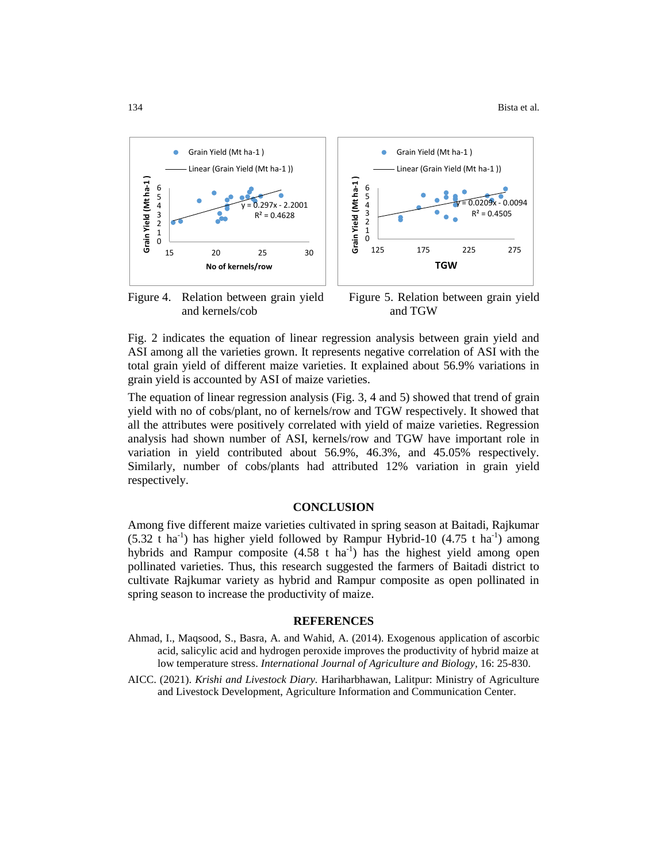$0.0094$ 

 $R^2 = 0.4505$ 



and kernels/cob and TGW



**TGW**

Grain Yield (Mt ha-1 )

 $\bullet$ 

Linear (Grain Yield (Mt ha-1 ))

Fig. 2 indicates the equation of linear regression analysis between grain yield and ASI among all the varieties grown. It represents negative correlation of ASI with the total grain yield of different maize varieties. It explained about 56.9% variations in grain yield is accounted by ASI of maize varieties.

The equation of linear regression analysis (Fig. 3, 4 and 5) showed that trend of grain yield with no of cobs/plant, no of kernels/row and TGW respectively. It showed that all the attributes were positively correlated with yield of maize varieties. Regression analysis had shown number of ASI, kernels/row and TGW have important role in variation in yield contributed about 56.9%, 46.3%, and 45.05% respectively. Similarly, number of cobs/plants had attributed 12% variation in grain yield respectively.

#### **CONCLUSION**

Among five different maize varieties cultivated in spring season at Baitadi, Rajkumar  $(5.32 \text{ t} \text{ ha}^{-1})$  has higher yield followed by Rampur Hybrid-10  $(4.75 \text{ t} \text{ ha}^{-1})$  among hybrids and Rampur composite  $(4.58 \text{ t} \text{ ha}^{-1})$  has the highest yield among open pollinated varieties. Thus, this research suggested the farmers of Baitadi district to cultivate Rajkumar variety as hybrid and Rampur composite as open pollinated in spring season to increase the productivity of maize.

#### **REFERENCES**

- Ahmad, I., Maqsood, S., Basra, A. and Wahid, A. (2014). Exogenous application of ascorbic acid, salicylic acid and hydrogen peroxide improves the productivity of hybrid maize at low temperature stress. *International Journal of Agriculture and Biology,* 16: 25-830.
- AICC. (2021). *Krishi and Livestock Diary.* Hariharbhawan, Lalitpur: Ministry of Agriculture and Livestock Development, Agriculture Information and Communication Center.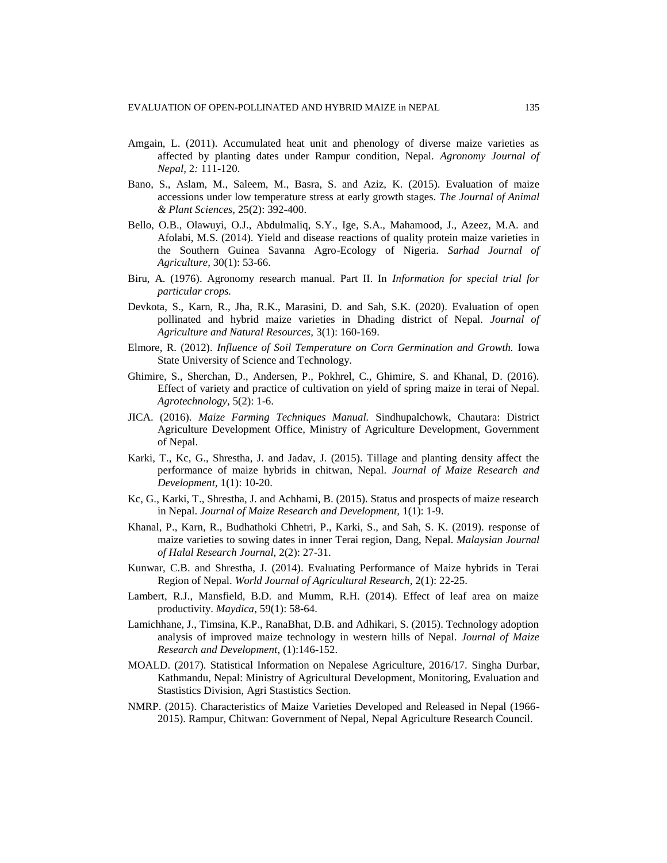- Amgain, L. (2011). Accumulated heat unit and phenology of diverse maize varieties as affected by planting dates under Rampur condition, Nepal. *Agronomy Journal of Nepal,* 2*:* 111-120.
- Bano, S., Aslam, M., Saleem, M., Basra, S. and Aziz, K. (2015). Evaluation of maize accessions under low temperature stress at early growth stages. *The Journal of Animal & Plant Sciences,* 25(2): 392-400.
- Bello, O.B., Olawuyi, O.J., Abdulmaliq, S.Y., Ige, S.A., Mahamood, J., Azeez, M.A. and Afolabi, M.S. (2014). Yield and disease reactions of quality protein maize varieties in the Southern Guinea Savanna Agro-Ecology of Nigeria. *Sarhad Journal of Agriculture,* 30(1): 53-66.
- Biru, A. (1976). Agronomy research manual. Part II. In *Information for special trial for particular crops.*
- Devkota, S., Karn, R., Jha, R.K., Marasini, D. and Sah, S.K. (2020). Evaluation of open pollinated and hybrid maize varieties in Dhading district of Nepal. *Journal of Agriculture and Natural Resources,* 3(1): 160-169.
- Elmore, R. (2012). *Influence of Soil Temperature on Corn Germination and Growth.* Iowa State University of Science and Technology.
- Ghimire, S., Sherchan, D., Andersen, P., Pokhrel, C., Ghimire, S. and Khanal, D. (2016). Effect of variety and practice of cultivation on yield of spring maize in terai of Nepal. *Agrotechnology,* 5(2): 1-6.
- JICA. (2016). *Maize Farming Techniques Manual.* Sindhupalchowk, Chautara: District Agriculture Development Office, Ministry of Agriculture Development, Government of Nepal.
- Karki, T., Kc, G., Shrestha, J. and Jadav, J. (2015). Tillage and planting density affect the performance of maize hybrids in chitwan, Nepal. *Journal of Maize Research and Development,* 1(1): 10-20.
- Kc, G., Karki, T., Shrestha, J. and Achhami, B. (2015). Status and prospects of maize research in Nepal. *Journal of Maize Research and Development,* 1(1): 1-9.
- Khanal, P., Karn, R., Budhathoki Chhetri, P., Karki, S., and Sah, S. K. (2019). response of maize varieties to sowing dates in inner Terai region, Dang, Nepal. *Malaysian Journal of Halal Research Journal,* 2(2): 27-31.
- Kunwar, C.B. and Shrestha, J. (2014). Evaluating Performance of Maize hybrids in Terai Region of Nepal. *World Journal of Agricultural Research,* 2(1): 22-25.
- Lambert, R.J., Mansfield, B.D. and Mumm, R.H. (2014). Effect of leaf area on maize productivity. *Maydica,* 59(1): 58-64.
- Lamichhane, J., Timsina, K.P., RanaBhat, D.B. and Adhikari, S. (2015). Technology adoption analysis of improved maize technology in western hills of Nepal. *Journal of Maize Research and Development*, (1):146-152.
- MOALD. (2017). Statistical Information on Nepalese Agriculture, 2016/17. Singha Durbar, Kathmandu, Nepal: Ministry of Agricultural Development, Monitoring, Evaluation and Stastistics Division, Agri Stastistics Section.
- NMRP. (2015). Characteristics of Maize Varieties Developed and Released in Nepal (1966- 2015). Rampur, Chitwan: Government of Nepal, Nepal Agriculture Research Council.